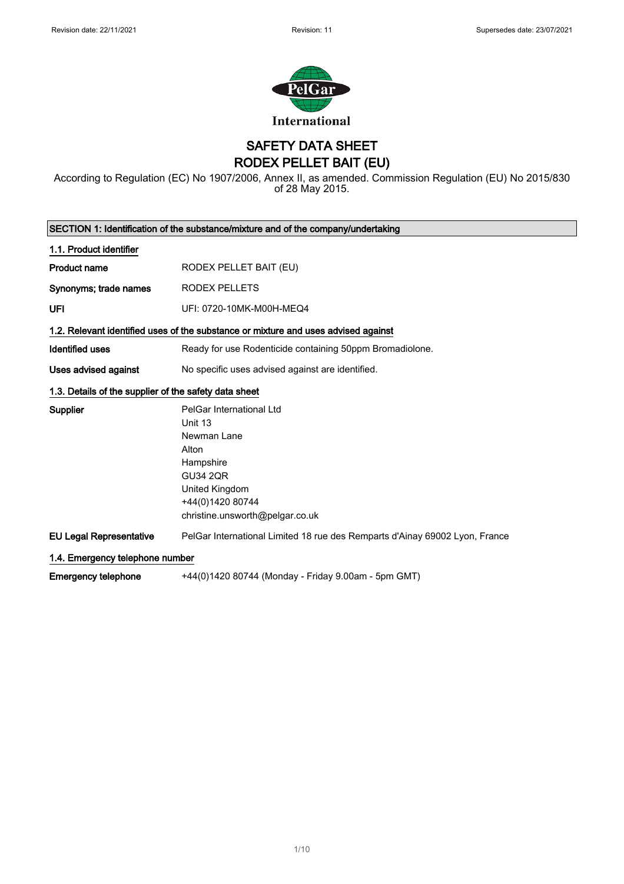

SAFETY DATA SHEET RODEX PELLET BAIT (EU)

According to Regulation (EC) No 1907/2006, Annex II, as amended. Commission Regulation (EU) No 2015/830 of 28 May 2015.

| SECTION 1: Identification of the substance/mixture and of the company/undertaking |                                                                                    |  |
|-----------------------------------------------------------------------------------|------------------------------------------------------------------------------------|--|
| 1.1. Product identifier                                                           |                                                                                    |  |
| <b>Product name</b>                                                               | RODEX PELLET BAIT (EU)                                                             |  |
| Synonyms; trade names                                                             | RODEX PELLETS                                                                      |  |
| UFI                                                                               | UFI: 0720-10MK-M00H-MEQ4                                                           |  |
|                                                                                   | 1.2. Relevant identified uses of the substance or mixture and uses advised against |  |
| <b>Identified uses</b>                                                            | Ready for use Rodenticide containing 50ppm Bromadiolone.                           |  |
| Uses advised against                                                              | No specific uses advised against are identified.                                   |  |
| 1.3. Details of the supplier of the safety data sheet                             |                                                                                    |  |
| <b>Supplier</b>                                                                   | PelGar International Ltd                                                           |  |
|                                                                                   | Unit 13                                                                            |  |
|                                                                                   | Newman Lane                                                                        |  |
|                                                                                   | Alton                                                                              |  |
|                                                                                   | Hampshire                                                                          |  |
|                                                                                   | <b>GU34 2QR</b>                                                                    |  |
|                                                                                   | United Kingdom                                                                     |  |
|                                                                                   | +44(0)1420 80744                                                                   |  |
|                                                                                   | christine.unsworth@pelgar.co.uk                                                    |  |
| <b>EU Legal Representative</b>                                                    | PelGar International Limited 18 rue des Remparts d'Ainay 69002 Lyon, France        |  |
| 1.4. Emergency telephone number                                                   |                                                                                    |  |
| <b>Emergency telephone</b>                                                        | +44(0)1420 80744 (Monday - Friday 9.00am - 5pm GMT)                                |  |

1/ 10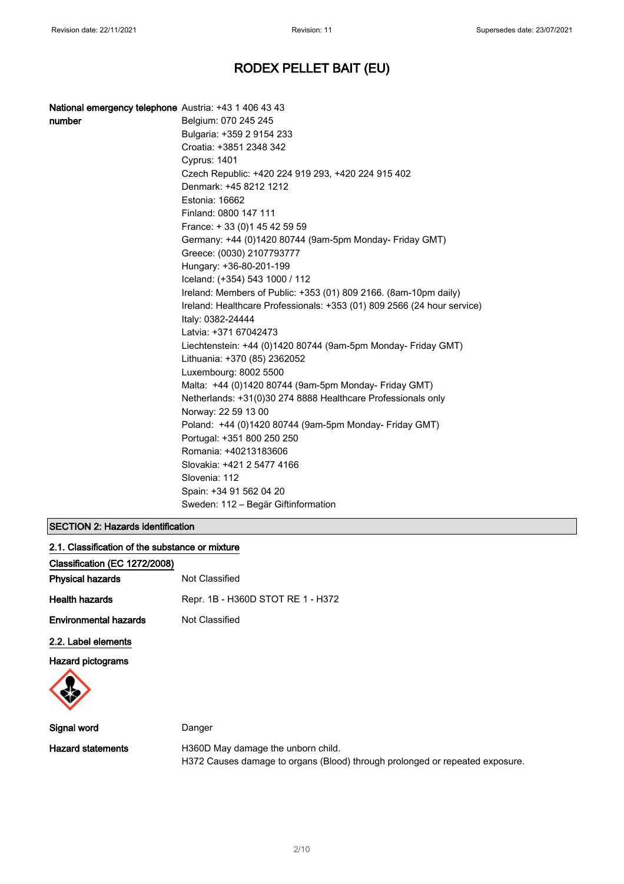| National emergency telephone Austria: +43 1 406 43 43 |                                                                         |
|-------------------------------------------------------|-------------------------------------------------------------------------|
| number                                                | Belgium: 070 245 245                                                    |
|                                                       | Bulgaria: +359 2 9154 233                                               |
|                                                       | Croatia: +3851 2348 342                                                 |
|                                                       | Cyprus: 1401                                                            |
|                                                       | Czech Republic: +420 224 919 293, +420 224 915 402                      |
|                                                       | Denmark: +45 8212 1212                                                  |
|                                                       | Estonia: 16662                                                          |
|                                                       | Finland: 0800 147 111                                                   |
|                                                       | France: +33 (0) 145 42 59 59                                            |
|                                                       | Germany: +44 (0)1420 80744 (9am-5pm Monday- Friday GMT)                 |
|                                                       | Greece: (0030) 2107793777                                               |
|                                                       | Hungary: +36-80-201-199                                                 |
|                                                       | Iceland: (+354) 543 1000 / 112                                          |
|                                                       | Ireland: Members of Public: +353 (01) 809 2166. (8am-10pm daily)        |
|                                                       | Ireland: Healthcare Professionals: +353 (01) 809 2566 (24 hour service) |
|                                                       | Italy: 0382-24444                                                       |
|                                                       | Latvia: +371 67042473                                                   |
|                                                       | Liechtenstein: +44 (0)1420 80744 (9am-5pm Monday- Friday GMT)           |
|                                                       | Lithuania: +370 (85) 2362052                                            |
|                                                       | Luxembourg: 8002 5500                                                   |
|                                                       | Malta: +44 (0)1420 80744 (9am-5pm Monday- Friday GMT)                   |
|                                                       | Netherlands: +31(0)30 274 8888 Healthcare Professionals only            |
|                                                       | Norway: 22 59 13 00                                                     |
|                                                       | Poland: +44 (0)1420 80744 (9am-5pm Monday- Friday GMT)                  |
|                                                       | Portugal: +351 800 250 250                                              |
|                                                       | Romania: +40213183606                                                   |
|                                                       | Slovakia: +421 2 5477 4166                                              |
|                                                       | Slovenia: 112                                                           |
|                                                       | Spain: +34 91 562 04 20                                                 |
|                                                       | Sweden: 112 – Begär Giftinformation                                     |

## SECTION 2: Hazards identification

| 2.1. Classification of the substance or mixture |                                   |
|-------------------------------------------------|-----------------------------------|
| Classification (EC 1272/2008)                   |                                   |
| <b>Physical hazards</b>                         | Not Classified                    |
| <b>Health hazards</b>                           | Repr. 1B - H360D STOT RE 1 - H372 |
| <b>Environmental hazards</b>                    | Not Classified                    |
| 2.2. Label elements                             |                                   |
| <b>Hazard pictograms</b>                        |                                   |
|                                                 |                                   |

| Signal word       | Danger                                                                       |
|-------------------|------------------------------------------------------------------------------|
| Hazard statements | H360D May damage the unborn child.                                           |
|                   | H372 Causes damage to organs (Blood) through prolonged or repeated exposure. |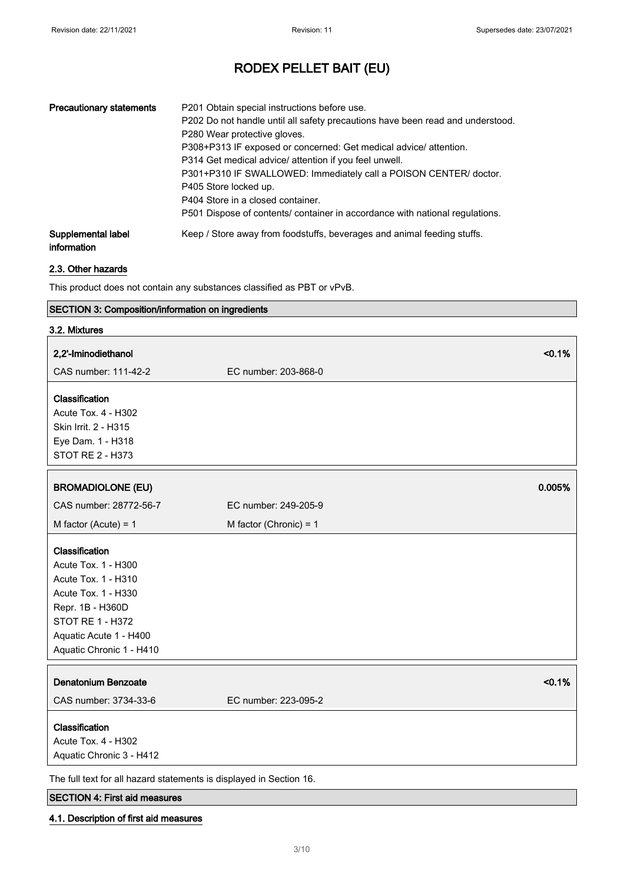| <b>Precautionary statements</b>   | P201 Obtain special instructions before use.<br>P202 Do not handle until all safety precautions have been read and understood.<br>P280 Wear protective gloves.<br>P308+P313 IF exposed or concerned: Get medical advice/attention.<br>P314 Get medical advice/ attention if you feel unwell.<br>P301+P310 IF SWALLOWED: Immediately call a POISON CENTER/ doctor.<br>P405 Store locked up.<br>P404 Store in a closed container.<br>P501 Dispose of contents/ container in accordance with national regulations. |
|-----------------------------------|-----------------------------------------------------------------------------------------------------------------------------------------------------------------------------------------------------------------------------------------------------------------------------------------------------------------------------------------------------------------------------------------------------------------------------------------------------------------------------------------------------------------|
| Supplemental label<br>information | Keep / Store away from foodstuffs, beverages and animal feeding stuffs.                                                                                                                                                                                                                                                                                                                                                                                                                                         |

### 2.3. Other hazards

This product does not contain any substances classified as PBT or vPvB.

# SECTION 3: Composition/information on ingredients

| 3.2. Mixtures                                                                                                                                                                     |                                |
|-----------------------------------------------------------------------------------------------------------------------------------------------------------------------------------|--------------------------------|
| 2,2'-Iminodiethanol                                                                                                                                                               | < 0.1%                         |
| CAS number: 111-42-2                                                                                                                                                              | EC number: 203-868-0           |
| Classification<br><b>Acute Tox. 4 - H302</b><br>Skin Irrit. 2 - H315<br>Eye Dam. 1 - H318<br><b>STOT RE 2 - H373</b>                                                              |                                |
| <b>BROMADIOLONE (EU)</b>                                                                                                                                                          | 0.005%                         |
| CAS number: 28772-56-7                                                                                                                                                            | EC number: 249-205-9           |
| M factor (Acute) = $1$                                                                                                                                                            | M factor (Chronic) = $1$       |
| Classification<br>Acute Tox. 1 - H300<br>Acute Tox. 1 - H310<br>Acute Tox. 1 - H330<br>Repr. 1B - H360D<br>STOT RE 1 - H372<br>Aquatic Acute 1 - H400<br>Aquatic Chronic 1 - H410 |                                |
| <b>Denatonium Benzoate</b><br>CAS number: 3734-33-6                                                                                                                               | < 0.1%<br>EC number: 223-095-2 |
| Classification<br>Acute Tox. 4 - H302<br>Aquatic Chronic 3 - H412                                                                                                                 |                                |
| The full text for all hazard statements is displayed in Section 16.                                                                                                               |                                |

## SECTION 4: First aid measures

### 4.1. Description of first aid measures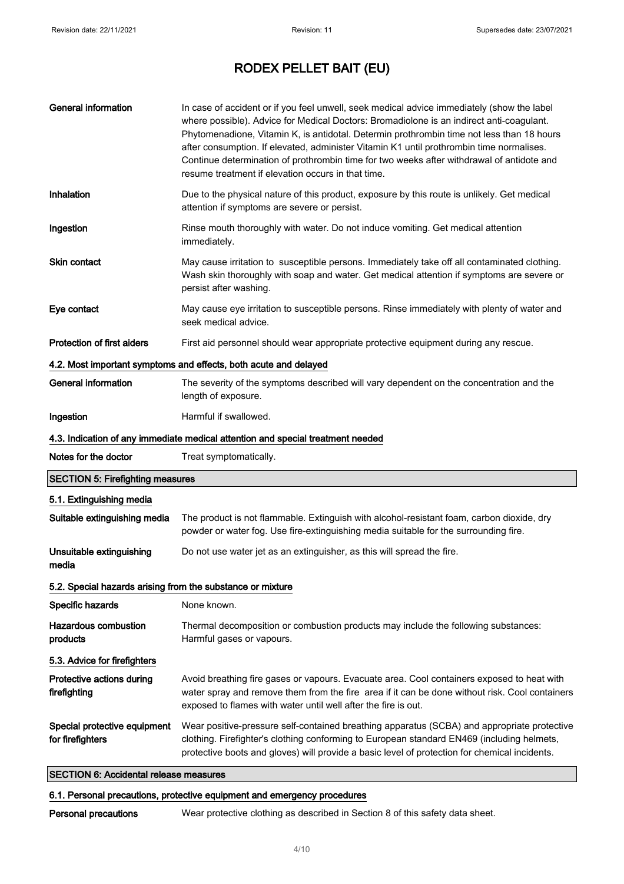| <b>General information</b>                                       | In case of accident or if you feel unwell, seek medical advice immediately (show the label<br>where possible). Advice for Medical Doctors: Bromadiolone is an indirect anti-coagulant.<br>Phytomenadione, Vitamin K, is antidotal. Determin prothrombin time not less than 18 hours<br>after consumption. If elevated, administer Vitamin K1 until prothrombin time normalises.<br>Continue determination of prothrombin time for two weeks after withdrawal of antidote and<br>resume treatment if elevation occurs in that time. |  |  |
|------------------------------------------------------------------|------------------------------------------------------------------------------------------------------------------------------------------------------------------------------------------------------------------------------------------------------------------------------------------------------------------------------------------------------------------------------------------------------------------------------------------------------------------------------------------------------------------------------------|--|--|
| Inhalation                                                       | Due to the physical nature of this product, exposure by this route is unlikely. Get medical<br>attention if symptoms are severe or persist.                                                                                                                                                                                                                                                                                                                                                                                        |  |  |
| Ingestion                                                        | Rinse mouth thoroughly with water. Do not induce vomiting. Get medical attention<br>immediately.                                                                                                                                                                                                                                                                                                                                                                                                                                   |  |  |
| <b>Skin contact</b>                                              | May cause irritation to susceptible persons. Immediately take off all contaminated clothing.<br>Wash skin thoroughly with soap and water. Get medical attention if symptoms are severe or<br>persist after washing.                                                                                                                                                                                                                                                                                                                |  |  |
| Eye contact                                                      | May cause eye irritation to susceptible persons. Rinse immediately with plenty of water and<br>seek medical advice.                                                                                                                                                                                                                                                                                                                                                                                                                |  |  |
| Protection of first aiders                                       | First aid personnel should wear appropriate protective equipment during any rescue.                                                                                                                                                                                                                                                                                                                                                                                                                                                |  |  |
| 4.2. Most important symptoms and effects, both acute and delayed |                                                                                                                                                                                                                                                                                                                                                                                                                                                                                                                                    |  |  |
| <b>General information</b>                                       | The severity of the symptoms described will vary dependent on the concentration and the<br>length of exposure.                                                                                                                                                                                                                                                                                                                                                                                                                     |  |  |
| Ingestion                                                        | Harmful if swallowed.                                                                                                                                                                                                                                                                                                                                                                                                                                                                                                              |  |  |
|                                                                  | 4.3. Indication of any immediate medical attention and special treatment needed                                                                                                                                                                                                                                                                                                                                                                                                                                                    |  |  |
| Notes for the doctor                                             | Treat symptomatically.                                                                                                                                                                                                                                                                                                                                                                                                                                                                                                             |  |  |
| <b>SECTION 5: Firefighting measures</b>                          |                                                                                                                                                                                                                                                                                                                                                                                                                                                                                                                                    |  |  |
| 5.1. Extinguishing media                                         |                                                                                                                                                                                                                                                                                                                                                                                                                                                                                                                                    |  |  |
| Suitable extinguishing media                                     | The product is not flammable. Extinguish with alcohol-resistant foam, carbon dioxide, dry<br>powder or water fog. Use fire-extinguishing media suitable for the surrounding fire.                                                                                                                                                                                                                                                                                                                                                  |  |  |
| Unsuitable extinguishing<br>media                                | Do not use water jet as an extinguisher, as this will spread the fire.                                                                                                                                                                                                                                                                                                                                                                                                                                                             |  |  |
| 5.2. Special hazards arising from the substance or mixture       |                                                                                                                                                                                                                                                                                                                                                                                                                                                                                                                                    |  |  |
| Specific hazards                                                 | None known.                                                                                                                                                                                                                                                                                                                                                                                                                                                                                                                        |  |  |
| <b>Hazardous combustion</b><br>products                          | Thermal decomposition or combustion products may include the following substances:<br>Harmful gases or vapours.                                                                                                                                                                                                                                                                                                                                                                                                                    |  |  |
| 5.3. Advice for firefighters                                     |                                                                                                                                                                                                                                                                                                                                                                                                                                                                                                                                    |  |  |
| Protective actions during<br>firefighting                        | Avoid breathing fire gases or vapours. Evacuate area. Cool containers exposed to heat with<br>water spray and remove them from the fire area if it can be done without risk. Cool containers<br>exposed to flames with water until well after the fire is out.                                                                                                                                                                                                                                                                     |  |  |
| Special protective equipment<br>for firefighters                 | Wear positive-pressure self-contained breathing apparatus (SCBA) and appropriate protective<br>clothing. Firefighter's clothing conforming to European standard EN469 (including helmets,<br>protective boots and gloves) will provide a basic level of protection for chemical incidents.                                                                                                                                                                                                                                         |  |  |
| <b>SECTION 6: Accidental release measures</b>                    |                                                                                                                                                                                                                                                                                                                                                                                                                                                                                                                                    |  |  |

## 6.1. Personal precautions, protective equipment and emergency procedures

Personal precautions Wear protective clothing as described in Section 8 of this safety data sheet.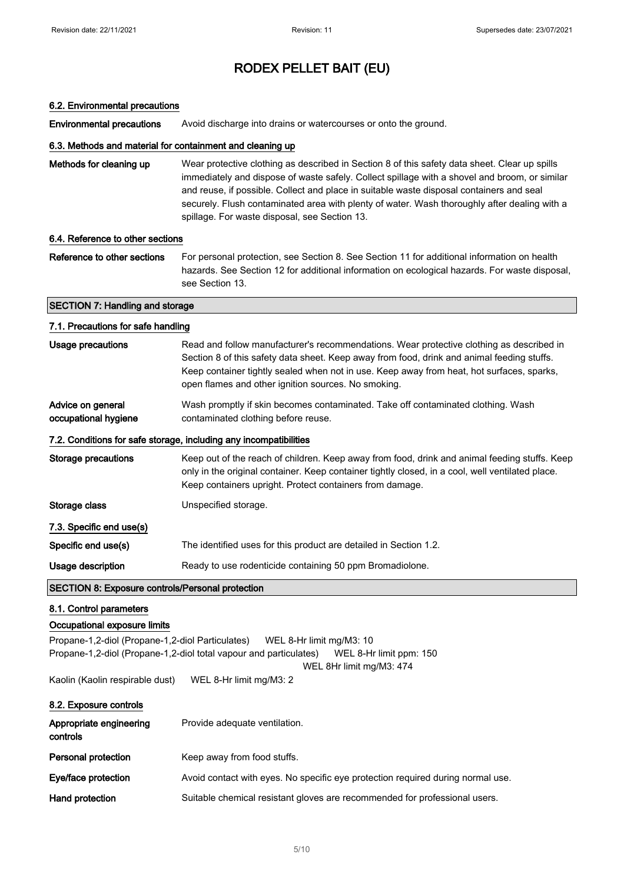### 6.2. Environmental precautions

Environmental precautions Avoid discharge into drains or watercourses or onto the ground.

### 6.3. Methods and material for containment and cleaning up

| Methods for cleaning up | Wear protective clothing as described in Section 8 of this safety data sheet. Clear up spills |
|-------------------------|-----------------------------------------------------------------------------------------------|
|                         | immediately and dispose of waste safely. Collect spillage with a shovel and broom, or similar |
|                         | and reuse, if possible. Collect and place in suitable waste disposal containers and seal      |
|                         | securely. Flush contaminated area with plenty of water. Wash thoroughly after dealing with a  |
|                         | spillage. For waste disposal, see Section 13.                                                 |

### 6.4. Reference to other sections

Reference to other sections For personal protection, see Section 8. See Section 11 for additional information on health hazards. See Section 12 for additional information on ecological hazards. For waste disposal, see Section 13.

### SECTION 7: Handling and storage

# 7.1. Precautions for safe handling Usage precautions **Read and follow manufacturer's recommendations**. Wear protective clothing as described in Section 8 of this safety data sheet. Keep away from food, drink and animal feeding stuffs. Keep container tightly sealed when not in use. Keep away from heat, hot surfaces, sparks, open flames and other ignition sources. No smoking. Advice on general occupational hygiene Wash promptly if skin becomes contaminated. Take off contaminated clothing. Wash contaminated clothing before reuse. 7.2. Conditions for safe storage, including any incompatibilities Storage precautions Keep out of the reach of children. Keep away from food, drink and animal feeding stuffs. Keep only in the original container. Keep container tightly closed, in a cool, well ventilated place. Keep containers upright. Protect containers from damage. Storage class Unspecified storage. 7.3. Specific end use(s) Specific end use(s) The identified uses for this product are detailed in Section 1.2. Usage description **Ready to use rodenticide containing 50 ppm Bromadiolone**. SECTION 8: Exposure controls/Personal protection

#### 8.1. Control parameters

### Occupational exposure limits

Propane-1,2-diol (Propane-1,2-diol Particulates) WEL 8-Hr limit mg/M3: 10 Propane-1,2-diol (Propane-1,2-diol total vapour and particulates) WEL 8-Hr limit ppm: 150

WEL 8Hr limit mg/M3: 474

Kaolin (Kaolin respirable dust) WEL 8-Hr limit mg/M3: 2

| 8.2. Exposure controls              |                                                                                 |
|-------------------------------------|---------------------------------------------------------------------------------|
| Appropriate engineering<br>controls | Provide adequate ventilation.                                                   |
| Personal protection                 | Keep away from food stuffs.                                                     |
| Eve/face protection                 | Avoid contact with eyes. No specific eye protection required during normal use. |
| Hand protection                     | Suitable chemical resistant gloves are recommended for professional users.      |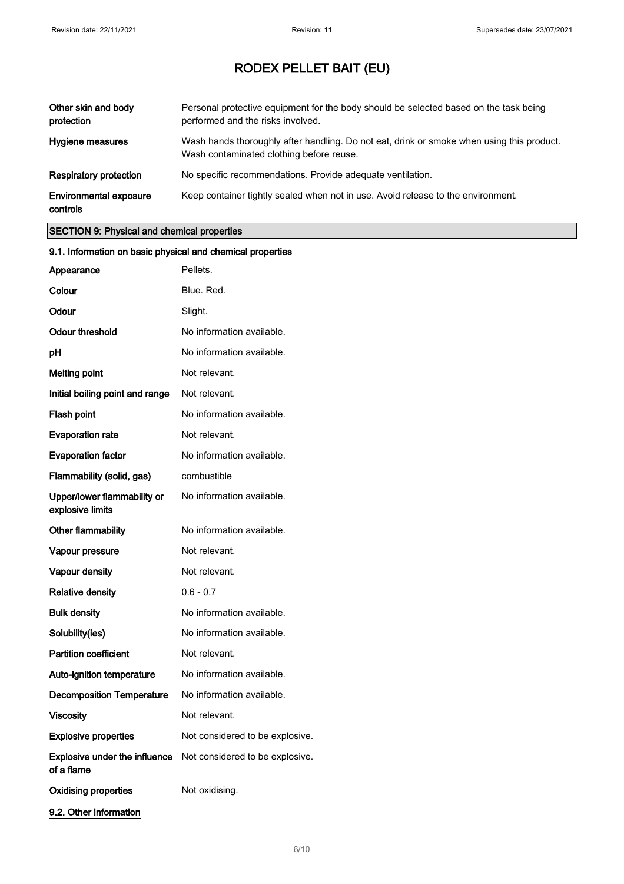| Other skin and body<br>protection         | Personal protective equipment for the body should be selected based on the task being<br>performed and the risks involved.            |
|-------------------------------------------|---------------------------------------------------------------------------------------------------------------------------------------|
| Hygiene measures                          | Wash hands thoroughly after handling. Do not eat, drink or smoke when using this product.<br>Wash contaminated clothing before reuse. |
| Respiratory protection                    | No specific recommendations. Provide adequate ventilation.                                                                            |
| <b>Environmental exposure</b><br>controls | Keep container tightly sealed when not in use. Avoid release to the environment.                                                      |

## SECTION 9: Physical and chemical properties

| 9.1. Information on basic physical and chemical properties |                                 |
|------------------------------------------------------------|---------------------------------|
| Appearance                                                 | Pellets.                        |
| Colour                                                     | Blue, Red.                      |
| Odour                                                      | Slight.                         |
| <b>Odour threshold</b>                                     | No information available.       |
| рH                                                         | No information available.       |
| <b>Melting point</b>                                       | Not relevant.                   |
| Initial boiling point and range                            | Not relevant.                   |
| Flash point                                                | No information available.       |
| <b>Evaporation rate</b>                                    | Not relevant.                   |
| <b>Evaporation factor</b>                                  | No information available.       |
| Flammability (solid, gas)                                  | combustible                     |
| Upper/lower flammability or<br>explosive limits            | No information available.       |
| Other flammability                                         | No information available.       |
| Vapour pressure                                            | Not relevant.                   |
| <b>Vapour density</b>                                      | Not relevant.                   |
| <b>Relative density</b>                                    | $0.6 - 0.7$                     |
| <b>Bulk density</b>                                        | No information available.       |
| Solubility(ies)                                            | No information available.       |
| <b>Partition coefficient</b>                               | Not relevant.                   |
| Auto-ignition temperature                                  | No information available.       |
| <b>Decomposition Temperature</b>                           | No information available.       |
| Viscosity                                                  | Not relevant.                   |
| <b>Explosive properties</b>                                | Not considered to be explosive. |
| Explosive under the influence<br>of a flame                | Not considered to be explosive. |
| <b>Oxidising properties</b>                                | Not oxidising.                  |
| 9.2. Other information                                     |                                 |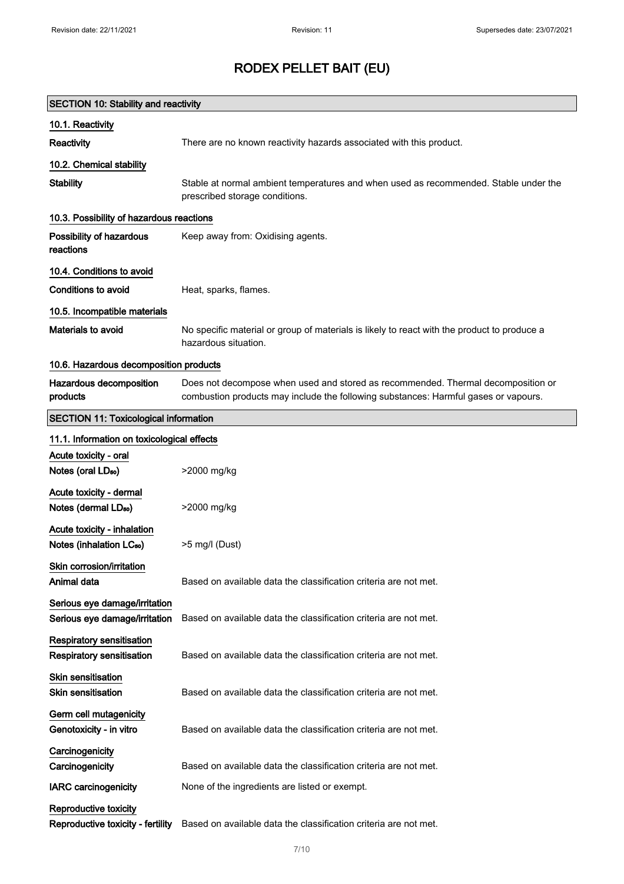| <b>SECTION 10: Stability and reactivity</b>                         |                                                                                                                                                                         |  |
|---------------------------------------------------------------------|-------------------------------------------------------------------------------------------------------------------------------------------------------------------------|--|
| 10.1. Reactivity                                                    |                                                                                                                                                                         |  |
| Reactivity                                                          | There are no known reactivity hazards associated with this product.                                                                                                     |  |
| 10.2. Chemical stability                                            |                                                                                                                                                                         |  |
| <b>Stability</b>                                                    | Stable at normal ambient temperatures and when used as recommended. Stable under the<br>prescribed storage conditions.                                                  |  |
| 10.3. Possibility of hazardous reactions                            |                                                                                                                                                                         |  |
| Possibility of hazardous<br>reactions                               | Keep away from: Oxidising agents.                                                                                                                                       |  |
| 10.4. Conditions to avoid                                           |                                                                                                                                                                         |  |
| <b>Conditions to avoid</b>                                          | Heat, sparks, flames.                                                                                                                                                   |  |
| 10.5. Incompatible materials                                        |                                                                                                                                                                         |  |
| Materials to avoid                                                  | No specific material or group of materials is likely to react with the product to produce a<br>hazardous situation.                                                     |  |
| 10.6. Hazardous decomposition products                              |                                                                                                                                                                         |  |
| Hazardous decomposition<br>products                                 | Does not decompose when used and stored as recommended. Thermal decomposition or<br>combustion products may include the following substances: Harmful gases or vapours. |  |
| <b>SECTION 11: Toxicological information</b>                        |                                                                                                                                                                         |  |
| 11.1. Information on toxicological effects                          |                                                                                                                                                                         |  |
| Acute toxicity - oral                                               |                                                                                                                                                                         |  |
| Notes (oral LD <sub>50</sub> )                                      | >2000 mg/kg                                                                                                                                                             |  |
| Acute toxicity - dermal                                             |                                                                                                                                                                         |  |
| Notes (dermal LD <sub>50</sub> )                                    | >2000 mg/kg                                                                                                                                                             |  |
| Acute toxicity - inhalation<br>Notes (inhalation LC <sub>50</sub> ) | >5 mg/l (Dust)                                                                                                                                                          |  |
| Skin corrosion/irritation<br>Animal data                            | Based on available data the classification criteria are not met.                                                                                                        |  |
| Serious eye damage/irritation<br>Serious eye damage/irritation      | Based on available data the classification criteria are not met.                                                                                                        |  |
| Respiratory sensitisation<br>Respiratory sensitisation              | Based on available data the classification criteria are not met.                                                                                                        |  |
| Skin sensitisation<br><b>Skin sensitisation</b>                     | Based on available data the classification criteria are not met.                                                                                                        |  |
| Germ cell mutagenicity<br>Genotoxicity - in vitro                   | Based on available data the classification criteria are not met.                                                                                                        |  |
| Carcinogenicity<br>Carcinogenicity                                  | Based on available data the classification criteria are not met.                                                                                                        |  |
| <b>IARC</b> carcinogenicity                                         | None of the ingredients are listed or exempt.                                                                                                                           |  |
| Reproductive toxicity<br>Reproductive toxicity - fertility          | Based on available data the classification criteria are not met.                                                                                                        |  |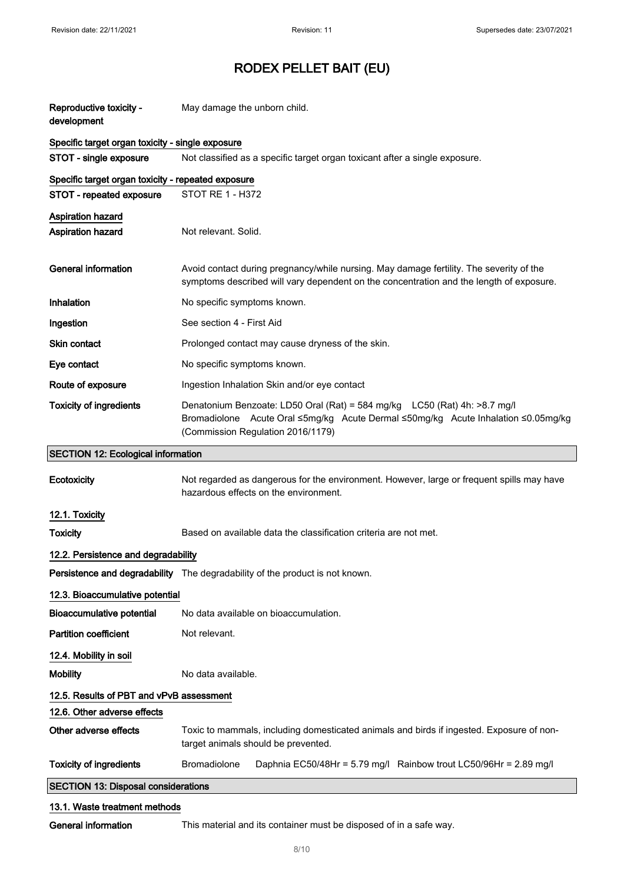| Reproductive toxicity -<br>development             | May damage the unborn child.                                                                                                                                                                        |  |
|----------------------------------------------------|-----------------------------------------------------------------------------------------------------------------------------------------------------------------------------------------------------|--|
| Specific target organ toxicity - single exposure   |                                                                                                                                                                                                     |  |
| STOT - single exposure                             | Not classified as a specific target organ toxicant after a single exposure.                                                                                                                         |  |
| Specific target organ toxicity - repeated exposure |                                                                                                                                                                                                     |  |
| STOT - repeated exposure                           | STOT RE 1 - H372                                                                                                                                                                                    |  |
| <b>Aspiration hazard</b><br>Aspiration hazard      | Not relevant. Solid.                                                                                                                                                                                |  |
| <b>General information</b>                         | Avoid contact during pregnancy/while nursing. May damage fertility. The severity of the<br>symptoms described will vary dependent on the concentration and the length of exposure.                  |  |
| Inhalation                                         | No specific symptoms known.                                                                                                                                                                         |  |
| Ingestion                                          | See section 4 - First Aid                                                                                                                                                                           |  |
| <b>Skin contact</b>                                | Prolonged contact may cause dryness of the skin.                                                                                                                                                    |  |
| Eye contact                                        | No specific symptoms known.                                                                                                                                                                         |  |
| Route of exposure                                  | Ingestion Inhalation Skin and/or eye contact                                                                                                                                                        |  |
| <b>Toxicity of ingredients</b>                     | Denatonium Benzoate: LD50 Oral (Rat) = 584 mg/kg LC50 (Rat) 4h: >8.7 mg/l<br>Bromadiolone Acute Oral ≤5mg/kg Acute Dermal ≤50mg/kg Acute Inhalation ≤0.05mg/kg<br>(Commission Regulation 2016/1179) |  |
| <b>SECTION 12: Ecological information</b>          |                                                                                                                                                                                                     |  |
| Ecotoxicity                                        | Not regarded as dangerous for the environment. However, large or frequent spills may have<br>hazardous effects on the environment.                                                                  |  |
| 12.1. Toxicity                                     |                                                                                                                                                                                                     |  |
| <b>Toxicity</b>                                    | Based on available data the classification criteria are not met.                                                                                                                                    |  |
| 12.2. Persistence and degradability                |                                                                                                                                                                                                     |  |
|                                                    | Persistence and degradability The degradability of the product is not known.                                                                                                                        |  |
| 12.3. Bioaccumulative potential                    |                                                                                                                                                                                                     |  |
| <b>Bioaccumulative potential</b>                   | No data available on bioaccumulation.                                                                                                                                                               |  |
| <b>Partition coefficient</b>                       | Not relevant.                                                                                                                                                                                       |  |
| 12.4. Mobility in soil                             |                                                                                                                                                                                                     |  |
| <b>Mobility</b>                                    | No data available.                                                                                                                                                                                  |  |
| 12.5. Results of PBT and vPvB assessment           |                                                                                                                                                                                                     |  |
| 12.6. Other adverse effects                        |                                                                                                                                                                                                     |  |
| Other adverse effects                              | Toxic to mammals, including domesticated animals and birds if ingested. Exposure of non-<br>target animals should be prevented.                                                                     |  |
| <b>Toxicity of ingredients</b>                     | Bromadiolone<br>Daphnia EC50/48Hr = 5.79 mg/l Rainbow trout LC50/96Hr = 2.89 mg/l                                                                                                                   |  |
| <b>SECTION 13: Disposal considerations</b>         |                                                                                                                                                                                                     |  |
| 13.1. Waste treatment methods                      |                                                                                                                                                                                                     |  |

General information This material and its container must be disposed of in a safe way.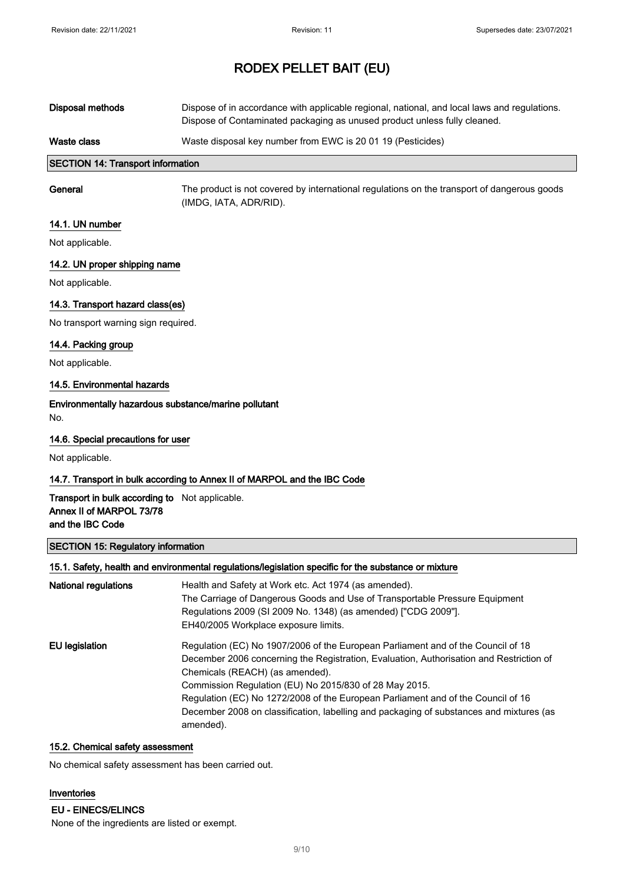| Waste class      | Waste disposal key number from EWC is 20 01 19 (Pesticides)                                                                                                               |
|------------------|---------------------------------------------------------------------------------------------------------------------------------------------------------------------------|
| Disposal methods | Dispose of in accordance with applicable regional, national, and local laws and regulations.<br>Dispose of Contaminated packaging as unused product unless fully cleaned. |

## SECTION 14: Transport information

General The product is not covered by international regulations on the transport of dangerous goods (IMDG, IATA, ADR/RID).

#### 14.1. UN number

Not applicable.

### 14.2. UN proper shipping name

Not applicable.

### 14.3. Transport hazard class(es)

No transport warning sign required.

### 14.4. Packing group

Not applicable.

### 14.5. Environmental hazards

# Environmentally hazardous substance/marine pollutant

No.

### 14.6. Special precautions for user

Not applicable.

### 14.7. Transport in bulk according to Annex II of MARPOL and the IBC Code

### Transport in bulk according to Not applicable. Annex II of MARPOL 73/78 and the IBC Code

### SECTION 15: Regulatory information

#### 15.1. Safety, health and environmental regulations/legislation specific for the substance or mixture

| National regulations | Health and Safety at Work etc. Act 1974 (as amended).<br>The Carriage of Dangerous Goods and Use of Transportable Pressure Equipment<br>Regulations 2009 (SI 2009 No. 1348) (as amended) ["CDG 2009"].<br>EH40/2005 Workplace exposure limits.                                                                                                                                                                                                                       |
|----------------------|----------------------------------------------------------------------------------------------------------------------------------------------------------------------------------------------------------------------------------------------------------------------------------------------------------------------------------------------------------------------------------------------------------------------------------------------------------------------|
| EU legislation       | Regulation (EC) No 1907/2006 of the European Parliament and of the Council of 18<br>December 2006 concerning the Registration, Evaluation, Authorisation and Restriction of<br>Chemicals (REACH) (as amended).<br>Commission Regulation (EU) No 2015/830 of 28 May 2015.<br>Regulation (EC) No 1272/2008 of the European Parliament and of the Council of 16<br>December 2008 on classification, labelling and packaging of substances and mixtures (as<br>amended). |

## 15.2. Chemical safety assessment

No chemical safety assessment has been carried out.

#### Inventories

EU - EINECS/ELINCS

None of the ingredients are listed or exempt.